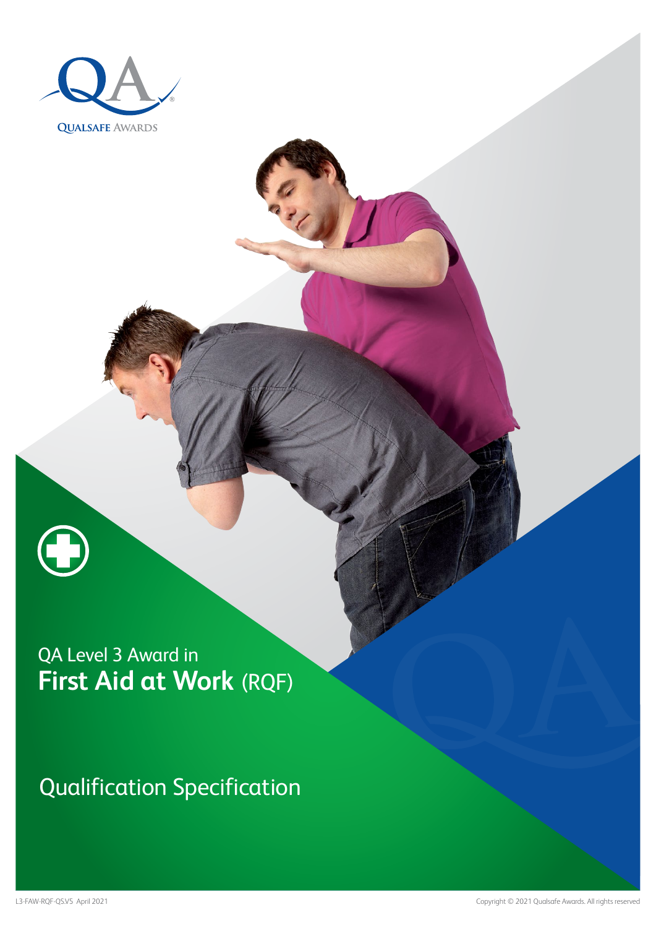



# QA Level 3 Award in **First Aid at Work** (RQF)

# Qualification Specification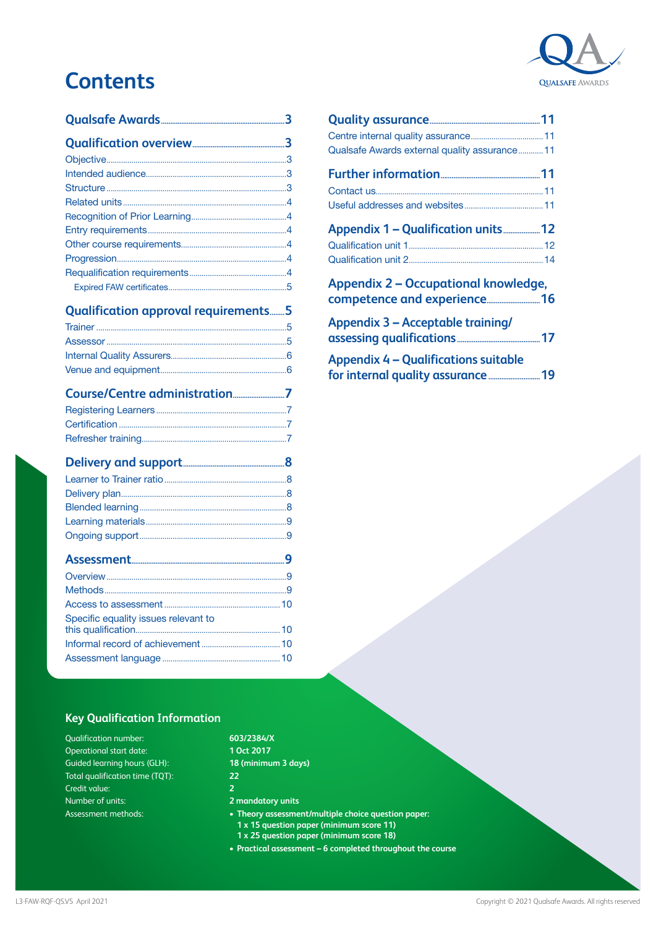

# **Contents**

## **[Qualification approval requirements........5](#page-4-0)**

| Specific equality issues relevant to |  |
|--------------------------------------|--|

Assessment language [.........................................................10](#page-9-0)

| Qualsafe Awards external quality assurance 11 |
|-----------------------------------------------|
|                                               |
| Appendix 1 - Qualification units12            |
| <b>Appendix 2 - Occupational knowledge,</b>   |
| Appendix 3 – Acceptable training/             |
| <b>Appendix 4 - Qualifications suitable</b>   |

## **Key Qualification Information**

| <b>Qualification number:</b>    |
|---------------------------------|
| Operational start date:         |
| Guided learning hours (GLH):    |
| Total qualification time (TQT): |
| Credit value:                   |
| Number of units:                |
| Assessment methods:             |

| 603/2384/X            |
|-----------------------|
| 1 Oct 2017            |
| 18 (minimum 3 days)   |
| 22                    |
| $\overline{2}$        |
| 2 mandatory units     |
| • Theory assessment/m |
|                       |

- **Theory assessment/multiple choice question paper:**
- **1 x 15 question paper (minimum score 11)**
- **1 x 25 question paper (minimum score 18)**
- **• Practical assessment 6 completed throughout the course**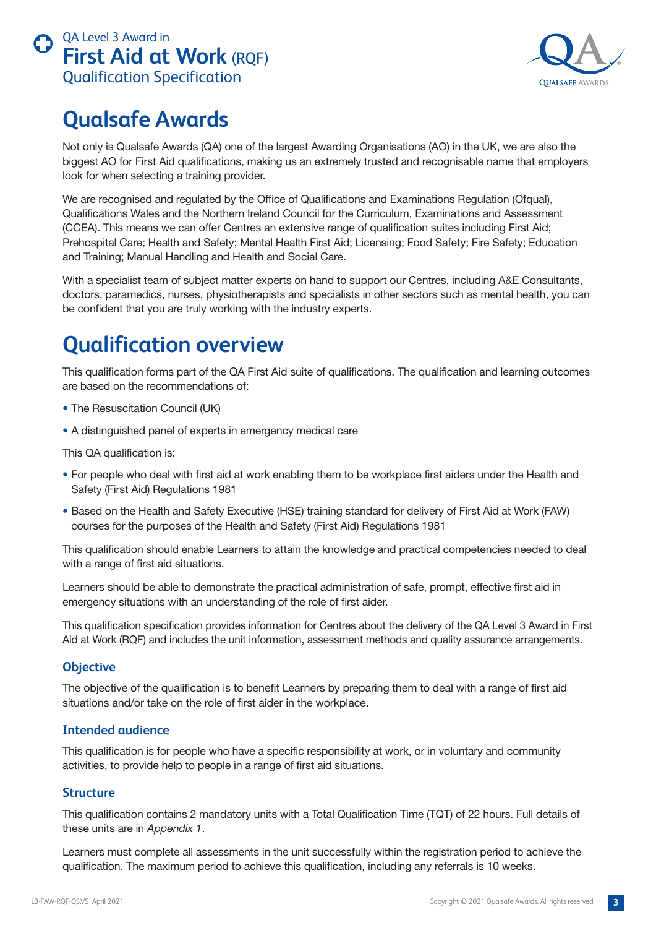<span id="page-2-0"></span>



## **Qualsafe Awards**

Not only is Qualsafe Awards (QA) one of the largest Awarding Organisations (AO) in the UK, we are also the biggest AO for First Aid qualifications, making us an extremely trusted and recognisable name that employers look for when selecting a training provider.

We are recognised and regulated by the Office of Qualifications and Examinations Regulation (Ofqual), Qualifications Wales and the Northern Ireland Council for the Curriculum, Examinations and Assessment (CCEA). This means we can offer Centres an extensive range of qualification suites including First Aid; Prehospital Care; Health and Safety; Mental Health First Aid; Licensing; Food Safety; Fire Safety; Education and Training; Manual Handling and Health and Social Care.

With a specialist team of subject matter experts on hand to support our Centres, including A&E Consultants, doctors, paramedics, nurses, physiotherapists and specialists in other sectors such as mental health, you can be confident that you are truly working with the industry experts.

# **Qualification overview**

This qualification forms part of the QA First Aid suite of qualifications. The qualification and learning outcomes are based on the recommendations of:

- The Resuscitation Council (UK)
- A distinguished panel of experts in emergency medical care

This QA qualification is:

- For people who deal with first aid at work enabling them to be workplace first aiders under the Health and Safety (First Aid) Regulations 1981
- Based on the Health and Safety Executive (HSE) training standard for delivery of First Aid at Work (FAW) courses for the purposes of the Health and Safety (First Aid) Regulations 1981

This qualification should enable Learners to attain the knowledge and practical competencies needed to deal with a range of first aid situations.

Learners should be able to demonstrate the practical administration of safe, prompt, effective first aid in emergency situations with an understanding of the role of first aider.

This qualification specification provides information for Centres about the delivery of the QA Level 3 Award in First Aid at Work (RQF) and includes the unit information, assessment methods and quality assurance arrangements.

### **Objective**

The objective of the qualification is to benefit Learners by preparing them to deal with a range of first aid situations and/or take on the role of first aider in the workplace.

### **Intended audience**

This qualification is for people who have a specific responsibility at work, or in voluntary and community activities, to provide help to people in a range of first aid situations.

### **Structure**

This qualification contains 2 mandatory units with a Total Qualification Time (TQT) of 22 hours. Full details of these units are in *Appendix 1*.

Learners must complete all assessments in the unit successfully within the registration period to achieve the qualification. The maximum period to achieve this qualification, including any referrals is 10 weeks.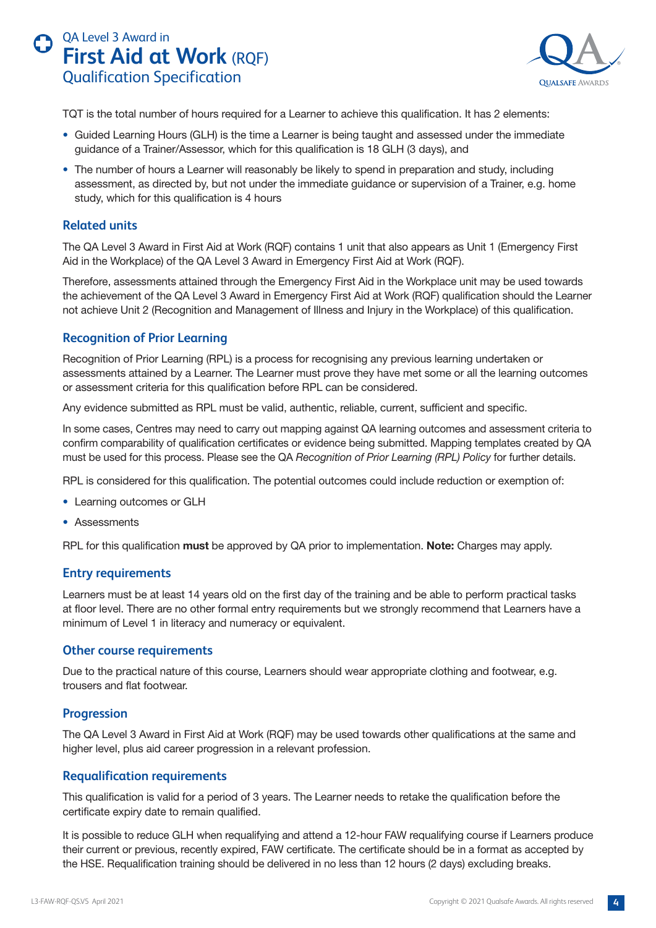<span id="page-3-0"></span>



TQT is the total number of hours required for a Learner to achieve this qualification. It has 2 elements:

- Guided Learning Hours (GLH) is the time a Learner is being taught and assessed under the immediate guidance of a Trainer/Assessor, which for this qualification is 18 GLH (3 days), and
- The number of hours a Learner will reasonably be likely to spend in preparation and study, including assessment, as directed by, but not under the immediate guidance or supervision of a Trainer, e.g. home study, which for this qualification is 4 hours

### **Related units**

The QA Level 3 Award in First Aid at Work (RQF) contains 1 unit that also appears as Unit 1 (Emergency First Aid in the Workplace) of the QA Level 3 Award in Emergency First Aid at Work (RQF).

Therefore, assessments attained through the Emergency First Aid in the Workplace unit may be used towards the achievement of the QA Level 3 Award in Emergency First Aid at Work (RQF) qualification should the Learner not achieve Unit 2 (Recognition and Management of Illness and Injury in the Workplace) of this qualification.

### **Recognition of Prior Learning**

Recognition of Prior Learning (RPL) is a process for recognising any previous learning undertaken or assessments attained by a Learner. The Learner must prove they have met some or all the learning outcomes or assessment criteria for this qualification before RPL can be considered.

Any evidence submitted as RPL must be valid, authentic, reliable, current, sufficient and specific.

In some cases, Centres may need to carry out mapping against QA learning outcomes and assessment criteria to confirm comparability of qualification certificates or evidence being submitted. Mapping templates created by QA must be used for this process. Please see the QA *Recognition of Prior Learning (RPL) Policy* for further details.

RPL is considered for this qualification. The potential outcomes could include reduction or exemption of:

- Learning outcomes or GLH
- Assessments

RPL for this qualification **must** be approved by QA prior to implementation. **Note:** Charges may apply.

### **Entry requirements**

Learners must be at least 14 years old on the first day of the training and be able to perform practical tasks at floor level. There are no other formal entry requirements but we strongly recommend that Learners have a minimum of Level 1 in literacy and numeracy or equivalent.

### **Other course requirements**

Due to the practical nature of this course, Learners should wear appropriate clothing and footwear, e.g. trousers and flat footwear.

### **Progression**

The QA Level 3 Award in First Aid at Work (RQF) may be used towards other qualifications at the same and higher level, plus aid career progression in a relevant profession.

### **Requalification requirements**

This qualification is valid for a period of 3 years. The Learner needs to retake the qualification before the certificate expiry date to remain qualified.

It is possible to reduce GLH when requalifying and attend a 12-hour FAW requalifying course if Learners produce their current or previous, recently expired, FAW certificate. The certificate should be in a format as accepted by the HSE. Requalification training should be delivered in no less than 12 hours (2 days) excluding breaks.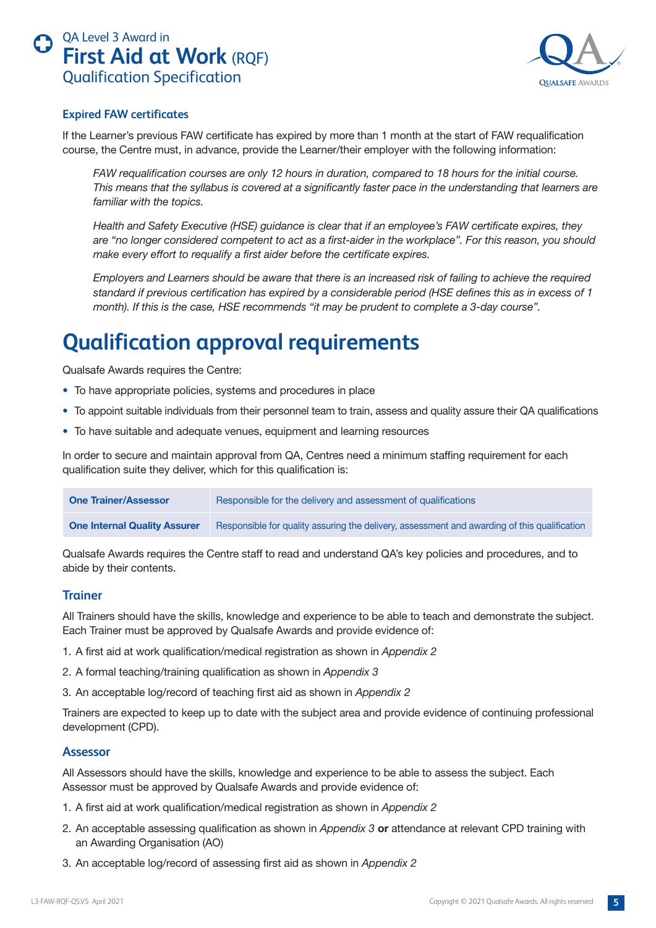<span id="page-4-0"></span>



### **Expired FAW certificates**

If the Learner's previous FAW certificate has expired by more than 1 month at the start of FAW requalification course, the Centre must, in advance, provide the Learner/their employer with the following information:

 *FAW requalification courses are only 12 hours in duration, compared to 18 hours for the initial course. This means that the syllabus is covered at a significantly faster pace in the understanding that learners are familiar with the topics.*

 *Health and Safety Executive (HSE) guidance is clear that if an employee's FAW certificate expires, they are "no longer considered competent to act as a first-aider in the workplace". For this reason, you should make every effort to requalify a first aider before the certificate expires.*

 *Employers and Learners should be aware that there is an increased risk of failing to achieve the required standard if previous certification has expired by a considerable period (HSE defines this as in excess of 1 month). If this is the case, HSE recommends "it may be prudent to complete a 3-day course".*

# **Qualification approval requirements**

Qualsafe Awards requires the Centre:

- To have appropriate policies, systems and procedures in place
- To appoint suitable individuals from their personnel team to train, assess and quality assure their QA qualifications
- To have suitable and adequate venues, equipment and learning resources

In order to secure and maintain approval from QA, Centres need a minimum staffing requirement for each qualification suite they deliver, which for this qualification is:

| <b>One Trainer/Assessor</b>         | Responsible for the delivery and assessment of qualifications                                |
|-------------------------------------|----------------------------------------------------------------------------------------------|
| <b>One Internal Quality Assurer</b> | Responsible for quality assuring the delivery, assessment and awarding of this qualification |

Qualsafe Awards requires the Centre staff to read and understand QA's key policies and procedures, and to abide by their contents.

### **Trainer**

All Trainers should have the skills, knowledge and experience to be able to teach and demonstrate the subject. Each Trainer must be approved by Qualsafe Awards and provide evidence of:

- 1. A first aid at work qualification/medical registration as shown in *Appendix 2*
- 2. A formal teaching/training qualification as shown in *Appendix 3*
- 3. An acceptable log/record of teaching first aid as shown in *Appendix 2*

Trainers are expected to keep up to date with the subject area and provide evidence of continuing professional development (CPD).

### **Assessor**

All Assessors should have the skills, knowledge and experience to be able to assess the subject. Each Assessor must be approved by Qualsafe Awards and provide evidence of:

- 1. A first aid at work qualification/medical registration as shown in *Appendix 2*
- 2. An acceptable assessing qualification as shown in *Appendix 3* **or** attendance at relevant CPD training with an Awarding Organisation (AO)
- 3. An acceptable log/record of assessing first aid as shown in *Appendix 2*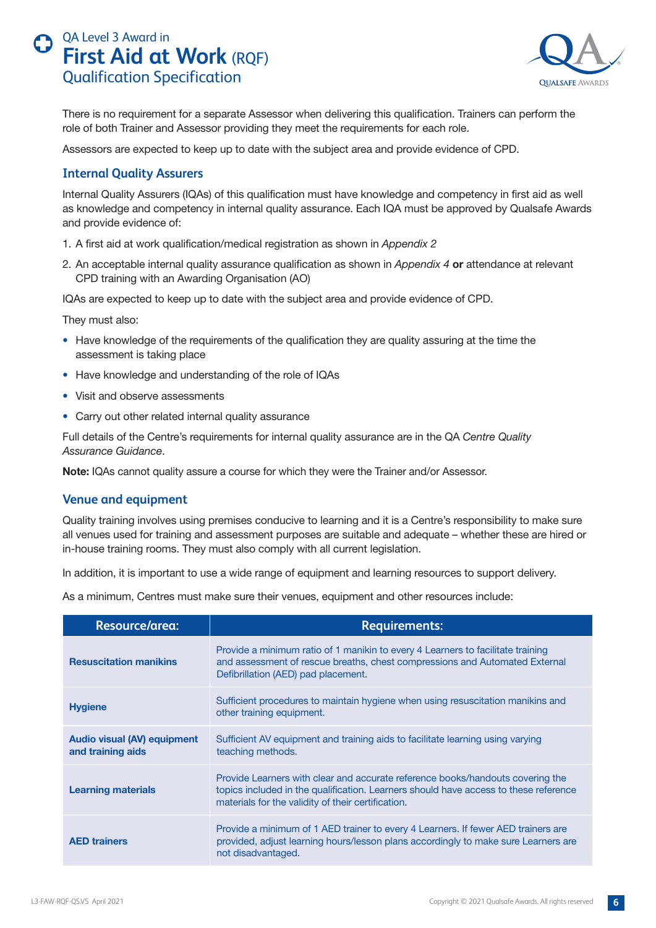## <span id="page-5-0"></span>QA Level 3 Award in **First Aid at Work** (RQF) Qualification Specification



There is no requirement for a separate Assessor when delivering this qualification. Trainers can perform the role of both Trainer and Assessor providing they meet the requirements for each role.

Assessors are expected to keep up to date with the subject area and provide evidence of CPD.

### **Internal Quality Assurers**

Internal Quality Assurers (IQAs) of this qualification must have knowledge and competency in first aid as well as knowledge and competency in internal quality assurance. Each IQA must be approved by Qualsafe Awards and provide evidence of:

- 1. A first aid at work qualification/medical registration as shown in *Appendix 2*
- 2. An acceptable internal quality assurance qualification as shown in *Appendix 4* **or** attendance at relevant CPD training with an Awarding Organisation (AO)

IQAs are expected to keep up to date with the subject area and provide evidence of CPD.

They must also:

- Have knowledge of the requirements of the qualification they are quality assuring at the time the assessment is taking place
- Have knowledge and understanding of the role of IQAs
- Visit and observe assessments
- Carry out other related internal quality assurance

Full details of the Centre's requirements for internal quality assurance are in the QA *Centre Quality Assurance Guidance*.

**Note:** IQAs cannot quality assure a course for which they were the Trainer and/or Assessor.

### **Venue and equipment**

Quality training involves using premises conducive to learning and it is a Centre's responsibility to make sure all venues used for training and assessment purposes are suitable and adequate – whether these are hired or in-house training rooms. They must also comply with all current legislation.

In addition, it is important to use a wide range of equipment and learning resources to support delivery.

As a minimum, Centres must make sure their venues, equipment and other resources include:

| Resource/area:                                          | <b>Requirements:</b>                                                                                                                                                                                                         |
|---------------------------------------------------------|------------------------------------------------------------------------------------------------------------------------------------------------------------------------------------------------------------------------------|
| <b>Resuscitation manikins</b>                           | Provide a minimum ratio of 1 manikin to every 4 Learners to facilitate training<br>and assessment of rescue breaths, chest compressions and Automated External<br>Defibrillation (AED) pad placement.                        |
| <b>Hygiene</b>                                          | Sufficient procedures to maintain hygiene when using resuscitation manikins and<br>other training equipment.                                                                                                                 |
| <b>Audio visual (AV) equipment</b><br>and training aids | Sufficient AV equipment and training aids to facilitate learning using varying<br>teaching methods.                                                                                                                          |
| <b>Learning materials</b>                               | Provide Learners with clear and accurate reference books/handouts covering the<br>topics included in the qualification. Learners should have access to these reference<br>materials for the validity of their certification. |
| <b>AED trainers</b>                                     | Provide a minimum of 1 AED trainer to every 4 Learners. If fewer AED trainers are<br>provided, adjust learning hours/lesson plans accordingly to make sure Learners are<br>not disadvantaged.                                |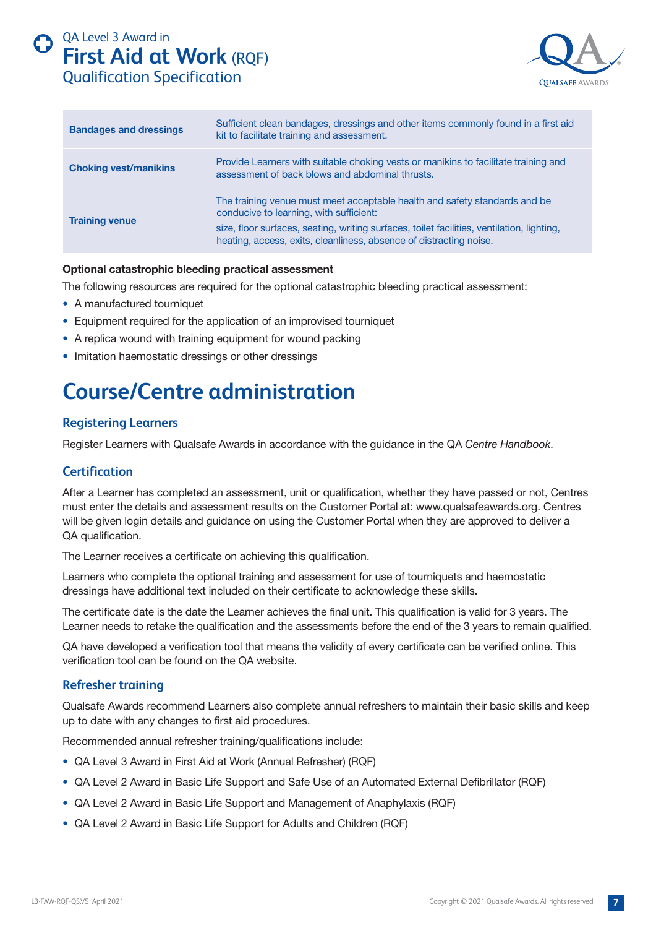

<span id="page-6-0"></span>

| <b>Bandages and dressings</b> | Sufficient clean bandages, dressings and other items commonly found in a first aid<br>kit to facilitate training and assessment.                                                                                                                                                          |
|-------------------------------|-------------------------------------------------------------------------------------------------------------------------------------------------------------------------------------------------------------------------------------------------------------------------------------------|
| <b>Choking vest/manikins</b>  | Provide Learners with suitable choking vests or manikins to facilitate training and<br>assessment of back blows and abdominal thrusts.                                                                                                                                                    |
| <b>Training venue</b>         | The training venue must meet acceptable health and safety standards and be<br>conducive to learning, with sufficient:<br>size, floor surfaces, seating, writing surfaces, toilet facilities, ventilation, lighting,<br>heating, access, exits, cleanliness, absence of distracting noise. |

### **Optional catastrophic bleeding practical assessment**

The following resources are required for the optional catastrophic bleeding practical assessment:

- A manufactured tourniquet
- Equipment required for the application of an improvised tourniquet
- A replica wound with training equipment for wound packing
- Imitation haemostatic dressings or other dressings

## **Course/Centre administration**

### **Registering Learners**

Register Learners with Qualsafe Awards in accordance with the guidance in the QA *Centre Handbook*.

### **Certification**

After a Learner has completed an assessment, unit or qualification, whether they have passed or not, Centres must enter the details and assessment results on the Customer Portal at: www.qualsafeawards.org. Centres will be given login details and guidance on using the Customer Portal when they are approved to deliver a QA qualification.

The Learner receives a certificate on achieving this qualification.

Learners who complete the optional training and assessment for use of tourniquets and haemostatic dressings have additional text included on their certificate to acknowledge these skills.

The certificate date is the date the Learner achieves the final unit. This qualification is valid for 3 years. The Learner needs to retake the qualification and the assessments before the end of the 3 years to remain qualified.

QA have developed a verification tool that means the validity of every certificate can be verified online. This verification tool can be found on the QA website.

### **Refresher training**

Qualsafe Awards recommend Learners also complete annual refreshers to maintain their basic skills and keep up to date with any changes to first aid procedures.

Recommended annual refresher training/qualifications include:

- QA Level 3 Award in First Aid at Work (Annual Refresher) (RQF)
- QA Level 2 Award in Basic Life Support and Safe Use of an Automated External Defibrillator (RQF)
- QA Level 2 Award in Basic Life Support and Management of Anaphylaxis (RQF)
- QA Level 2 Award in Basic Life Support for Adults and Children (RQF)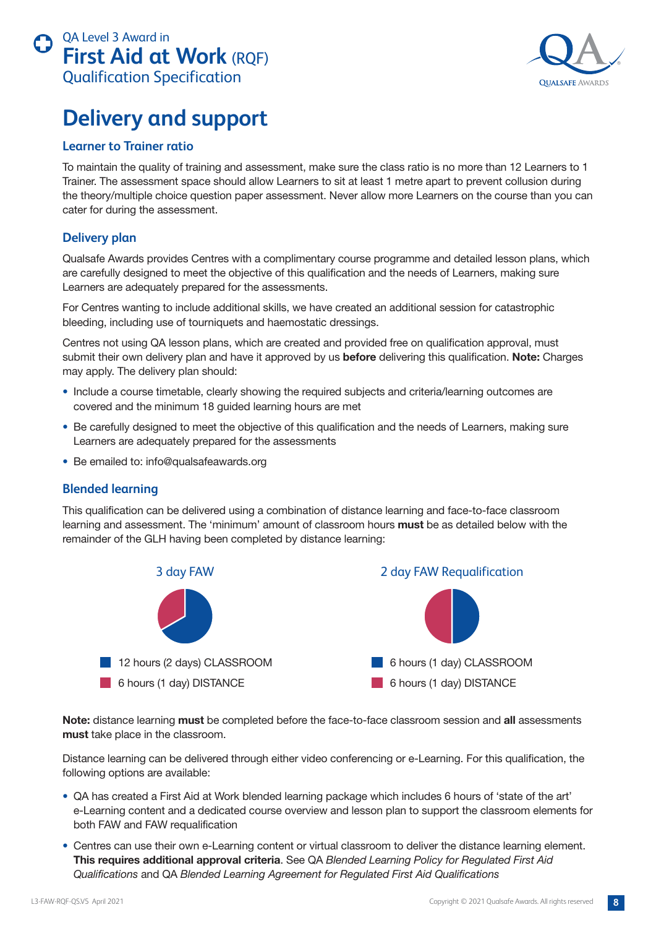<span id="page-7-0"></span>



## **Delivery and support**

### **Learner to Trainer ratio**

To maintain the quality of training and assessment, make sure the class ratio is no more than 12 Learners to 1 Trainer. The assessment space should allow Learners to sit at least 1 metre apart to prevent collusion during the theory/multiple choice question paper assessment. Never allow more Learners on the course than you can cater for during the assessment.

### **Delivery plan**

Qualsafe Awards provides Centres with a complimentary course programme and detailed lesson plans, which are carefully designed to meet the objective of this qualification and the needs of Learners, making sure Learners are adequately prepared for the assessments.

For Centres wanting to include additional skills, we have created an additional session for catastrophic bleeding, including use of tourniquets and haemostatic dressings.

Centres not using QA lesson plans, which are created and provided free on qualification approval, must submit their own delivery plan and have it approved by us **before** delivering this qualification. **Note:** Charges may apply. The delivery plan should:

- Include a course timetable, clearly showing the required subjects and criteria/learning outcomes are covered and the minimum 18 guided learning hours are met
- Be carefully designed to meet the objective of this qualification and the needs of Learners, making sure Learners are adequately prepared for the assessments
- Be emailed to: info@qualsafeawards.org

### **Blended learning**

This qualification can be delivered using a combination of distance learning and face-to-face classroom learning and assessment. The 'minimum' amount of classroom hours **must** be as detailed below with the remainder of the GLH having been completed by distance learning:



**Note:** distance learning **must** be completed before the face-to-face classroom session and **all** assessments **must** take place in the classroom.

Distance learning can be delivered through either video conferencing or e-Learning. For this qualification, the following options are available:

- QA has created a First Aid at Work blended learning package which includes 6 hours of 'state of the art' e-Learning content and a dedicated course overview and lesson plan to support the classroom elements for both FAW and FAW requalification
- Centres can use their own e-Learning content or virtual classroom to deliver the distance learning element. **This requires additional approval criteria**. See QA *Blended Learning Policy for Regulated First Aid Qualifications* and QA *Blended Learning Agreement for Regulated First Aid Qualifications*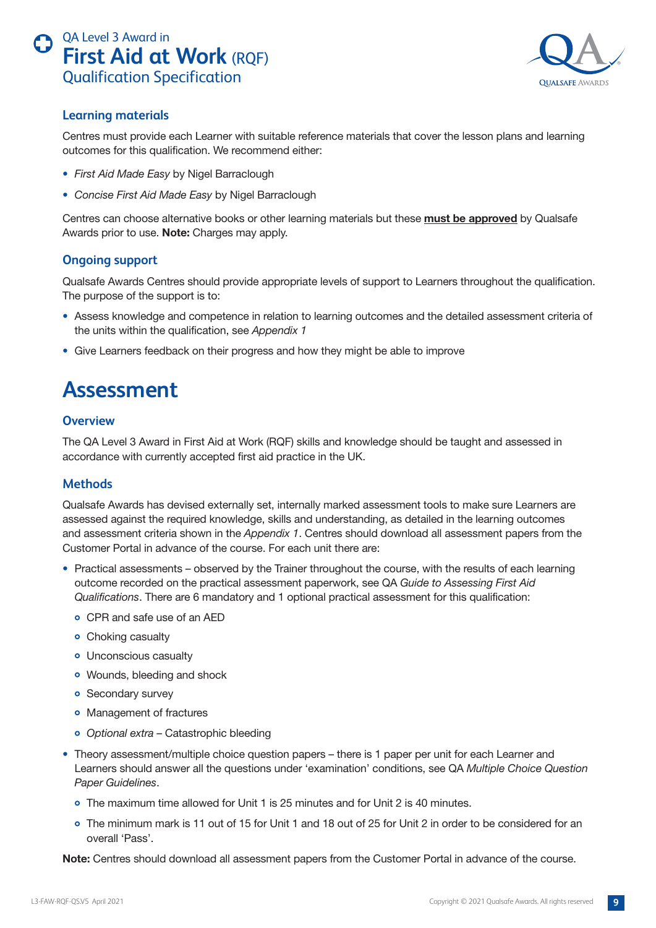<span id="page-8-0"></span>



### **Learning materials**

Centres must provide each Learner with suitable reference materials that cover the lesson plans and learning outcomes for this qualification. We recommend either:

- *First Aid Made Easy* by Nigel Barraclough
- *Concise First Aid Made Easy* by Nigel Barraclough

Centres can choose alternative books or other learning materials but these **must be approved** by Qualsafe Awards prior to use. **Note:** Charges may apply.

### **Ongoing support**

Qualsafe Awards Centres should provide appropriate levels of support to Learners throughout the qualification. The purpose of the support is to:

- Assess knowledge and competence in relation to learning outcomes and the detailed assessment criteria of the units within the qualification, see *Appendix 1*
- Give Learners feedback on their progress and how they might be able to improve

## **Assessment**

### **Overview**

The QA Level 3 Award in First Aid at Work (RQF) skills and knowledge should be taught and assessed in accordance with currently accepted first aid practice in the UK.

### **Methods**

Qualsafe Awards has devised externally set, internally marked assessment tools to make sure Learners are assessed against the required knowledge, skills and understanding, as detailed in the learning outcomes and assessment criteria shown in the *Appendix 1*. Centres should download all assessment papers from the Customer Portal in advance of the course. For each unit there are:

- Practical assessments observed by the Trainer throughout the course, with the results of each learning outcome recorded on the practical assessment paperwork, see QA *Guide to Assessing First Aid Qualifications*. There are 6 mandatory and 1 optional practical assessment for this qualification:
	- CPR and safe use of an AED
	- Choking casualty
	- Unconscious casualty
	- Wounds, bleeding and shock
	- **•** Secondary survey
	- Management of fractures
	- *Optional extra* Catastrophic bleeding
- Theory assessment/multiple choice question papers there is 1 paper per unit for each Learner and Learners should answer all the questions under 'examination' conditions, see QA *Multiple Choice Question Paper Guidelines*.
	- The maximum time allowed for Unit 1 is 25 minutes and for Unit 2 is 40 minutes.
	- The minimum mark is 11 out of 15 for Unit 1 and 18 out of 25 for Unit 2 in order to be considered for an overall 'Pass'.

**Note:** Centres should download all assessment papers from the Customer Portal in advance of the course.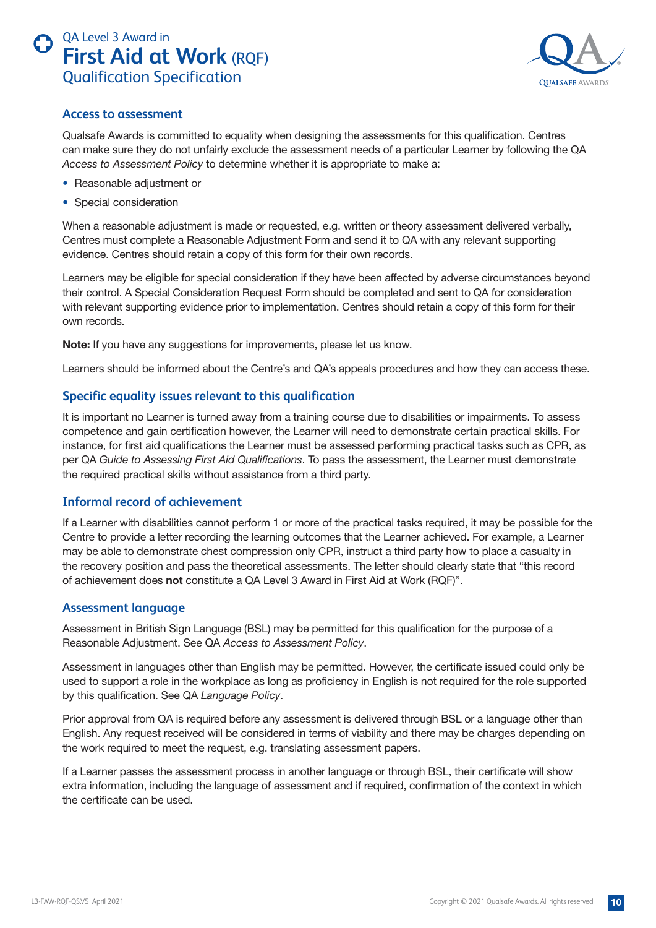<span id="page-9-0"></span>



### **Access to assessment**

Qualsafe Awards is committed to equality when designing the assessments for this qualification. Centres can make sure they do not unfairly exclude the assessment needs of a particular Learner by following the QA *Access to Assessment Policy* to determine whether it is appropriate to make a:

- Reasonable adjustment or
- Special consideration

When a reasonable adjustment is made or requested, e.g. written or theory assessment delivered verbally, Centres must complete a Reasonable Adjustment Form and send it to QA with any relevant supporting evidence. Centres should retain a copy of this form for their own records.

Learners may be eligible for special consideration if they have been affected by adverse circumstances beyond their control. A Special Consideration Request Form should be completed and sent to QA for consideration with relevant supporting evidence prior to implementation. Centres should retain a copy of this form for their own records.

**Note:** If you have any suggestions for improvements, please let us know.

Learners should be informed about the Centre's and QA's appeals procedures and how they can access these.

### **Specific equality issues relevant to this qualification**

It is important no Learner is turned away from a training course due to disabilities or impairments. To assess competence and gain certification however, the Learner will need to demonstrate certain practical skills. For instance, for first aid qualifications the Learner must be assessed performing practical tasks such as CPR, as per QA *Guide to Assessing First Aid Qualifications*. To pass the assessment, the Learner must demonstrate the required practical skills without assistance from a third party.

### **Informal record of achievement**

If a Learner with disabilities cannot perform 1 or more of the practical tasks required, it may be possible for the Centre to provide a letter recording the learning outcomes that the Learner achieved. For example, a Learner may be able to demonstrate chest compression only CPR, instruct a third party how to place a casualty in the recovery position and pass the theoretical assessments. The letter should clearly state that "this record of achievement does **not** constitute a QA Level 3 Award in First Aid at Work (RQF)".

### **Assessment language**

Assessment in British Sign Language (BSL) may be permitted for this qualification for the purpose of a Reasonable Adjustment. See QA *Access to Assessment Policy*.

Assessment in languages other than English may be permitted. However, the certificate issued could only be used to support a role in the workplace as long as proficiency in English is not required for the role supported by this qualification. See QA *Language Policy*.

Prior approval from QA is required before any assessment is delivered through BSL or a language other than English. Any request received will be considered in terms of viability and there may be charges depending on the work required to meet the request, e.g. translating assessment papers.

If a Learner passes the assessment process in another language or through BSL, their certificate will show extra information, including the language of assessment and if required, confirmation of the context in which the certificate can be used.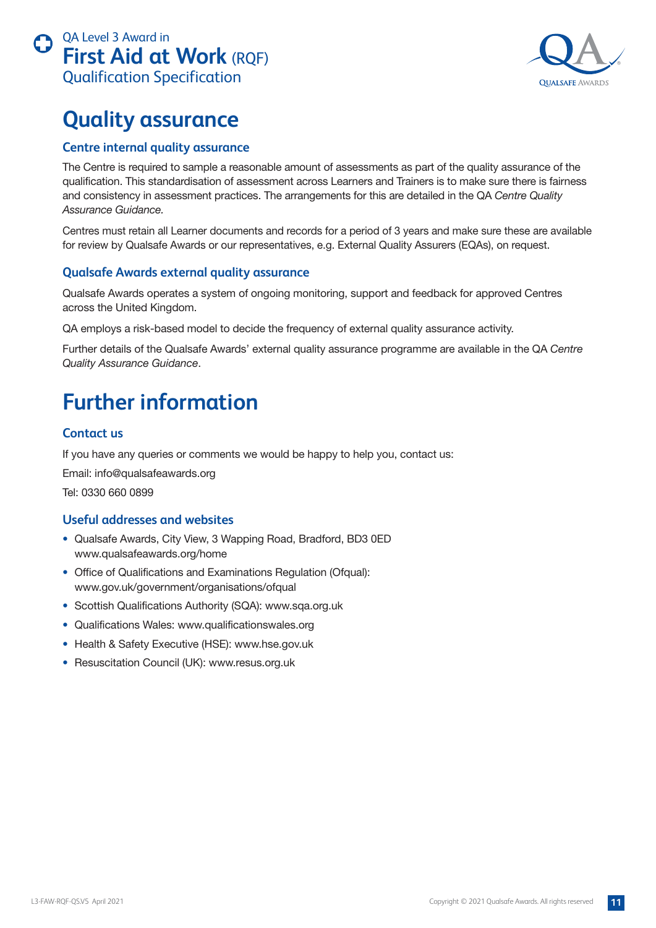<span id="page-10-0"></span>



# **Quality assurance**

### **Centre internal quality assurance**

The Centre is required to sample a reasonable amount of assessments as part of the quality assurance of the qualification. This standardisation of assessment across Learners and Trainers is to make sure there is fairness and consistency in assessment practices. The arrangements for this are detailed in the QA *Centre Quality Assurance Guidance.*

Centres must retain all Learner documents and records for a period of 3 years and make sure these are available for review by Qualsafe Awards or our representatives, e.g. External Quality Assurers (EQAs), on request.

### **Qualsafe Awards external quality assurance**

Qualsafe Awards operates a system of ongoing monitoring, support and feedback for approved Centres across the United Kingdom.

QA employs a risk-based model to decide the frequency of external quality assurance activity.

Further details of the Qualsafe Awards' external quality assurance programme are available in the QA *Centre Quality Assurance Guidance*.

# **Further information**

### **Contact us**

If you have any queries or comments we would be happy to help you, contact us:

Email: info@qualsafeawards.org

Tel: 0330 660 0899

### **Useful addresses and websites**

- Qualsafe Awards, City View, 3 Wapping Road, Bradford, BD3 0ED www.qualsafeawards.org/home
- Office of Qualifications and Examinations Regulation (Ofqual): www.gov.uk/government/organisations/ofqual
- Scottish Qualifications Authority (SQA): www.sqa.org.uk
- Qualifications Wales: www.qualificationswales.org
- Health & Safety Executive (HSE): www.hse.gov.uk
- Resuscitation Council (UK): www.resus.org.uk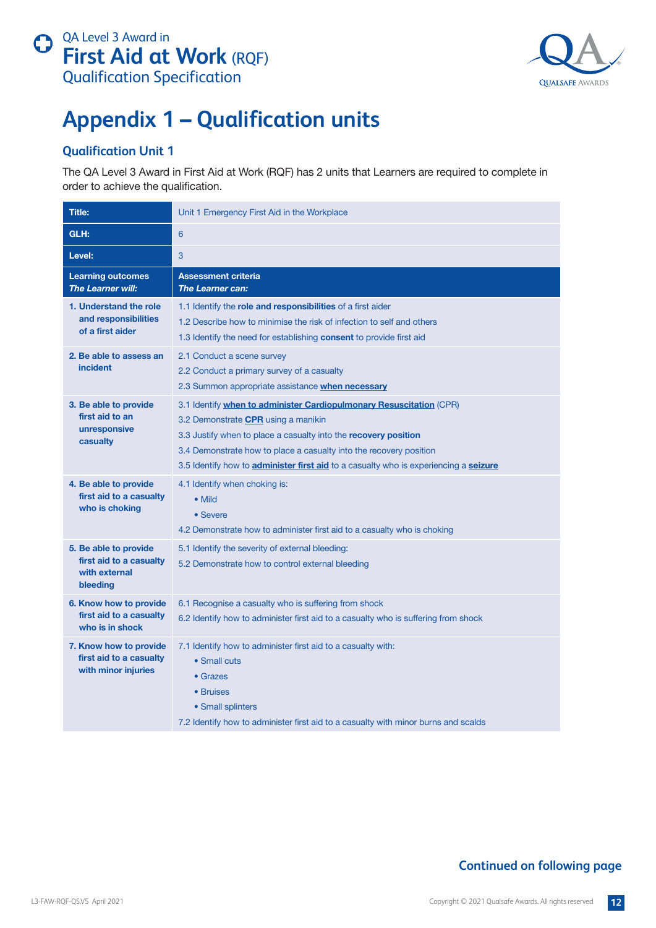<span id="page-11-0"></span>



# **Appendix 1 – Qualification units**

## **Qualification Unit 1**

The QA Level 3 Award in First Aid at Work (RQF) has 2 units that Learners are required to complete in order to achieve the qualification.

| <b>Title:</b>                                                                 | Unit 1 Emergency First Aid in the Workplace                                                                                                                                                                                                                                                                                                               |
|-------------------------------------------------------------------------------|-----------------------------------------------------------------------------------------------------------------------------------------------------------------------------------------------------------------------------------------------------------------------------------------------------------------------------------------------------------|
| GLH:                                                                          | $6\phantom{1}$                                                                                                                                                                                                                                                                                                                                            |
| Level:                                                                        | 3                                                                                                                                                                                                                                                                                                                                                         |
| <b>Learning outcomes</b><br>The Learner will:                                 | <b>Assessment criteria</b><br><b>The Learner can:</b>                                                                                                                                                                                                                                                                                                     |
| 1. Understand the role<br>and responsibilities<br>of a first aider            | 1.1 Identify the role and responsibilities of a first aider<br>1.2 Describe how to minimise the risk of infection to self and others<br>1.3 Identify the need for establishing consent to provide first aid                                                                                                                                               |
| 2. Be able to assess an<br><i>incident</i>                                    | 2.1 Conduct a scene survey<br>2.2 Conduct a primary survey of a casualty<br>2.3 Summon appropriate assistance when necessary                                                                                                                                                                                                                              |
| 3. Be able to provide<br>first aid to an<br>unresponsive<br>casualty          | 3.1 Identify when to administer Cardiopulmonary Resuscitation (CPR)<br>3.2 Demonstrate CPR using a manikin<br>3.3 Justify when to place a casualty into the recovery position<br>3.4 Demonstrate how to place a casualty into the recovery position<br>3.5 Identify how to <b>administer first aid</b> to a casualty who is experiencing a <b>seizure</b> |
| 4. Be able to provide<br>first aid to a casualty<br>who is choking            | 4.1 Identify when choking is:<br>• Mild<br>• Severe<br>4.2 Demonstrate how to administer first aid to a casualty who is choking                                                                                                                                                                                                                           |
| 5. Be able to provide<br>first aid to a casualty<br>with external<br>bleeding | 5.1 Identify the severity of external bleeding:<br>5.2 Demonstrate how to control external bleeding                                                                                                                                                                                                                                                       |
| 6. Know how to provide<br>first aid to a casualty<br>who is in shock          | 6.1 Recognise a casualty who is suffering from shock<br>6.2 Identify how to administer first aid to a casualty who is suffering from shock                                                                                                                                                                                                                |
| 7. Know how to provide<br>first aid to a casualty<br>with minor injuries      | 7.1 Identify how to administer first aid to a casualty with:<br>• Small cuts<br>• Grazes<br>• Bruises<br>• Small splinters<br>7.2 Identify how to administer first aid to a casualty with minor burns and scalds                                                                                                                                          |

## **Continued on following page**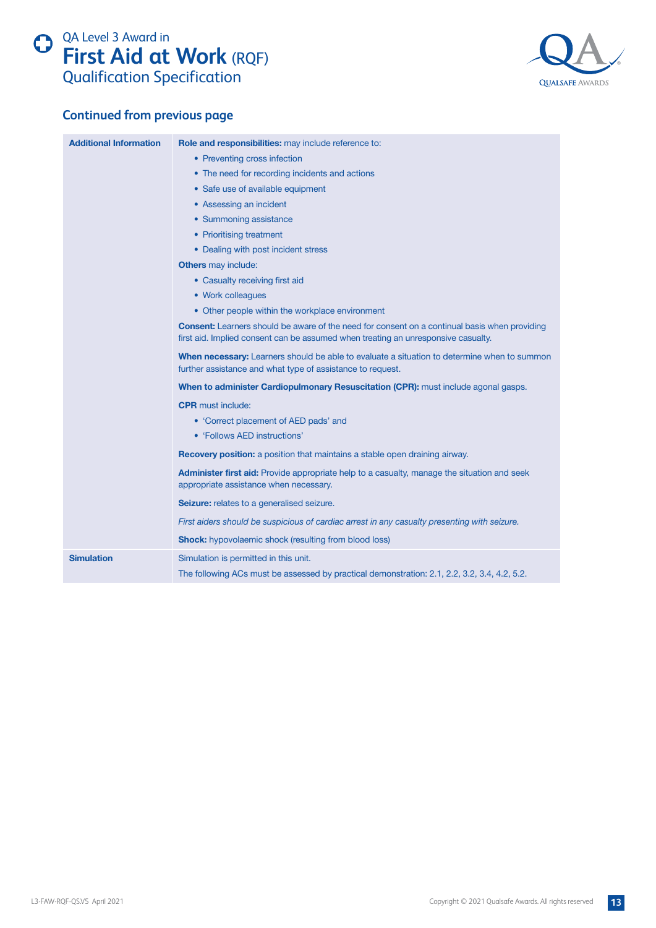



## **Continued from previous page**

| <b>Additional Information</b> | Role and responsibilities: may include reference to:                                                                                                                                      |
|-------------------------------|-------------------------------------------------------------------------------------------------------------------------------------------------------------------------------------------|
|                               | • Preventing cross infection                                                                                                                                                              |
|                               | • The need for recording incidents and actions                                                                                                                                            |
|                               | • Safe use of available equipment                                                                                                                                                         |
|                               | • Assessing an incident                                                                                                                                                                   |
|                               | • Summoning assistance                                                                                                                                                                    |
|                               | • Prioritising treatment                                                                                                                                                                  |
|                               | • Dealing with post incident stress                                                                                                                                                       |
|                               | <b>Others</b> may include:                                                                                                                                                                |
|                               | • Casualty receiving first aid                                                                                                                                                            |
|                               | • Work colleagues                                                                                                                                                                         |
|                               | • Other people within the workplace environment                                                                                                                                           |
|                               | <b>Consent:</b> Learners should be aware of the need for consent on a continual basis when providing<br>first aid. Implied consent can be assumed when treating an unresponsive casualty. |
|                               | When necessary: Learners should be able to evaluate a situation to determine when to summon<br>further assistance and what type of assistance to request.                                 |
|                               | When to administer Cardiopulmonary Resuscitation (CPR): must include agonal gasps.                                                                                                        |
|                               | <b>CPR</b> must include:                                                                                                                                                                  |
|                               | • 'Correct placement of AED pads' and                                                                                                                                                     |
|                               | • 'Follows AED instructions'                                                                                                                                                              |
|                               | <b>Recovery position:</b> a position that maintains a stable open draining airway.                                                                                                        |
|                               | <b>Administer first aid:</b> Provide appropriate help to a casualty, manage the situation and seek<br>appropriate assistance when necessary.                                              |
|                               | <b>Seizure:</b> relates to a generalised seizure.                                                                                                                                         |
|                               | First aiders should be suspicious of cardiac arrest in any casualty presenting with seizure.                                                                                              |
|                               | <b>Shock:</b> hypovolaemic shock (resulting from blood loss)                                                                                                                              |
| <b>Simulation</b>             | Simulation is permitted in this unit.                                                                                                                                                     |
|                               | The following ACs must be assessed by practical demonstration: 2.1, 2.2, 3.2, 3.4, 4.2, 5.2.                                                                                              |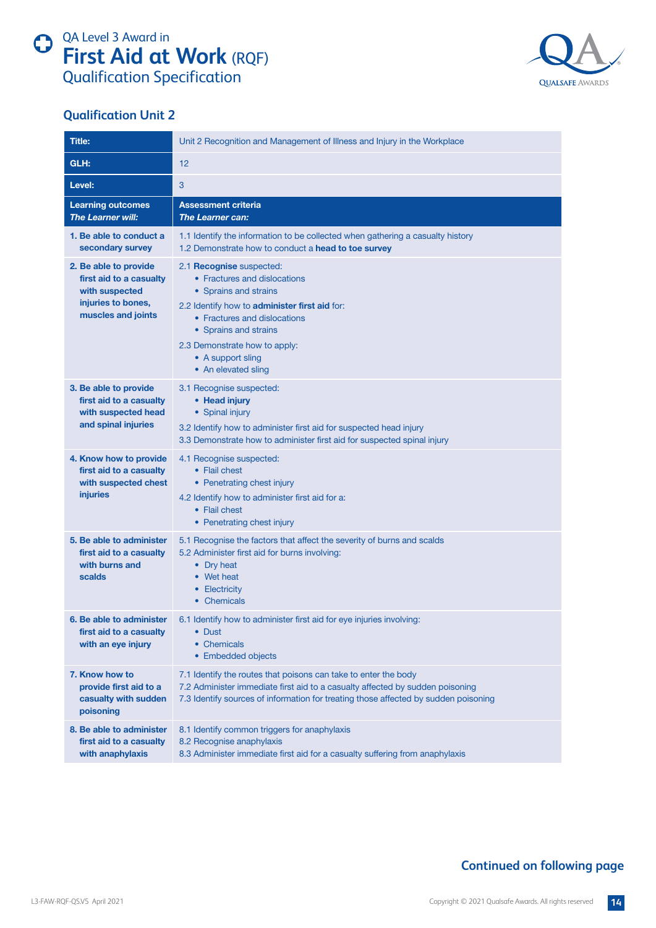<span id="page-13-0"></span>



## **Qualification Unit 2**

| <b>Title:</b>                                                                                                  | Unit 2 Recognition and Management of Illness and Injury in the Workplace                                                                                                                                                                                                 |
|----------------------------------------------------------------------------------------------------------------|--------------------------------------------------------------------------------------------------------------------------------------------------------------------------------------------------------------------------------------------------------------------------|
| GLH:                                                                                                           | 12                                                                                                                                                                                                                                                                       |
| Level:                                                                                                         | 3                                                                                                                                                                                                                                                                        |
| <b>Learning outcomes</b><br>The Learner will:                                                                  | <b>Assessment criteria</b><br><b>The Learner can:</b>                                                                                                                                                                                                                    |
| 1. Be able to conduct a<br>secondary survey                                                                    | 1.1 Identify the information to be collected when gathering a casualty history<br>1.2 Demonstrate how to conduct a head to toe survey                                                                                                                                    |
| 2. Be able to provide<br>first aid to a casualty<br>with suspected<br>injuries to bones,<br>muscles and joints | 2.1 Recognise suspected:<br>• Fractures and dislocations<br>• Sprains and strains<br>2.2 Identify how to administer first aid for:<br>• Fractures and dislocations<br>• Sprains and strains<br>2.3 Demonstrate how to apply:<br>• A support sling<br>• An elevated sling |
| 3. Be able to provide<br>first aid to a casualty<br>with suspected head<br>and spinal injuries                 | 3.1 Recognise suspected:<br>• Head injury<br>• Spinal injury<br>3.2 Identify how to administer first aid for suspected head injury<br>3.3 Demonstrate how to administer first aid for suspected spinal injury                                                            |
| 4. Know how to provide<br>first aid to a casualty<br>with suspected chest<br>injuries                          | 4.1 Recognise suspected:<br>• Flail chest<br>• Penetrating chest injury<br>4.2 Identify how to administer first aid for a:<br>• Flail chest<br>• Penetrating chest injury                                                                                                |
| 5. Be able to administer<br>first aid to a casualty<br>with burns and<br>scalds                                | 5.1 Recognise the factors that affect the severity of burns and scalds<br>5.2 Administer first aid for burns involving:<br>• Dry heat<br>• Wet heat<br>• Electricity<br>• Chemicals                                                                                      |
| 6. Be able to administer<br>first aid to a casualty<br>with an eye injury                                      | 6.1 Identify how to administer first aid for eye injuries involving:<br>• Dust<br>• Chemicals<br>• Embedded objects                                                                                                                                                      |
| 7. Know how to<br>provide first aid to a<br>casualty with sudden<br>poisoning                                  | 7.1 Identify the routes that poisons can take to enter the body<br>7.2 Administer immediate first aid to a casualty affected by sudden poisoning<br>7.3 Identify sources of information for treating those affected by sudden poisoning                                  |
| 8. Be able to administer<br>first aid to a casualty<br>with anaphylaxis                                        | 8.1 Identify common triggers for anaphylaxis<br>8.2 Recognise anaphylaxis<br>8.3 Administer immediate first aid for a casualty suffering from anaphylaxis                                                                                                                |

## **Continued on following page**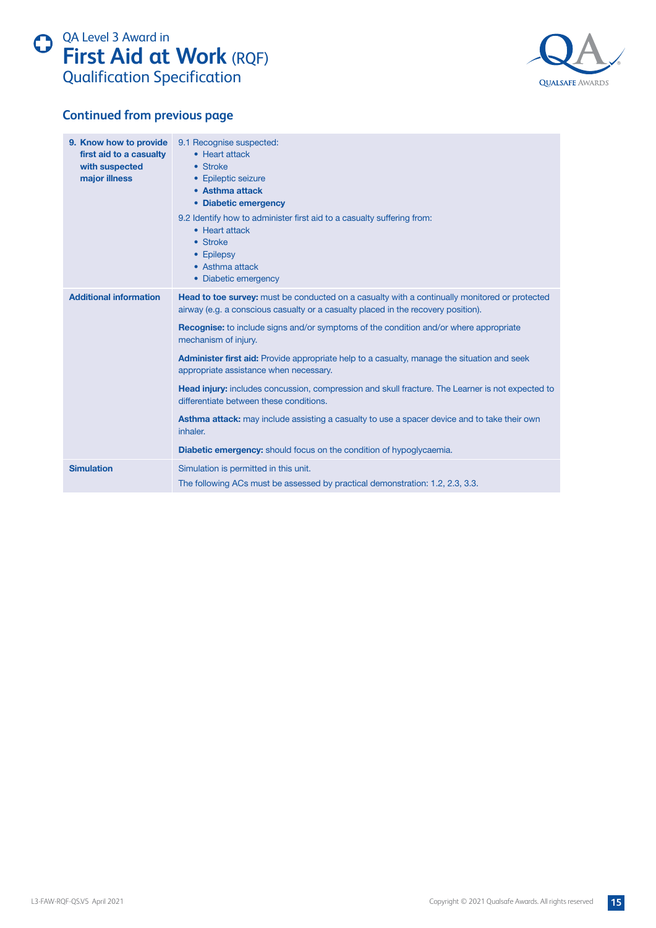



## **Continued from previous page**

| 9. Know how to provide<br>first aid to a casualty<br>with suspected<br>major illness | 9.1 Recognise suspected:<br>• Heart attack<br>• Stroke<br>• Epileptic seizure<br>• Asthma attack<br>• Diabetic emergency<br>9.2 Identify how to administer first aid to a casualty suffering from:<br>• Heart attack<br>• Stroke<br>• Epilepsy<br>• Asthma attack<br>• Diabetic emergency                                                                                                                                                                                                                                                                                                                                                                                                                                                                                                           |
|--------------------------------------------------------------------------------------|-----------------------------------------------------------------------------------------------------------------------------------------------------------------------------------------------------------------------------------------------------------------------------------------------------------------------------------------------------------------------------------------------------------------------------------------------------------------------------------------------------------------------------------------------------------------------------------------------------------------------------------------------------------------------------------------------------------------------------------------------------------------------------------------------------|
| <b>Additional information</b>                                                        | Head to toe survey: must be conducted on a casualty with a continually monitored or protected<br>airway (e.g. a conscious casualty or a casualty placed in the recovery position).<br>Recognise: to include signs and/or symptoms of the condition and/or where appropriate<br>mechanism of injury.<br><b>Administer first aid:</b> Provide appropriate help to a casualty, manage the situation and seek<br>appropriate assistance when necessary.<br>Head injury: includes concussion, compression and skull fracture. The Learner is not expected to<br>differentiate between these conditions.<br><b>Asthma attack:</b> may include assisting a casualty to use a spacer device and to take their own<br>inhaler.<br><b>Diabetic emergency:</b> should focus on the condition of hypoglycaemia. |
| <b>Simulation</b>                                                                    | Simulation is permitted in this unit.<br>The following ACs must be assessed by practical demonstration: 1.2, 2.3, 3.3.                                                                                                                                                                                                                                                                                                                                                                                                                                                                                                                                                                                                                                                                              |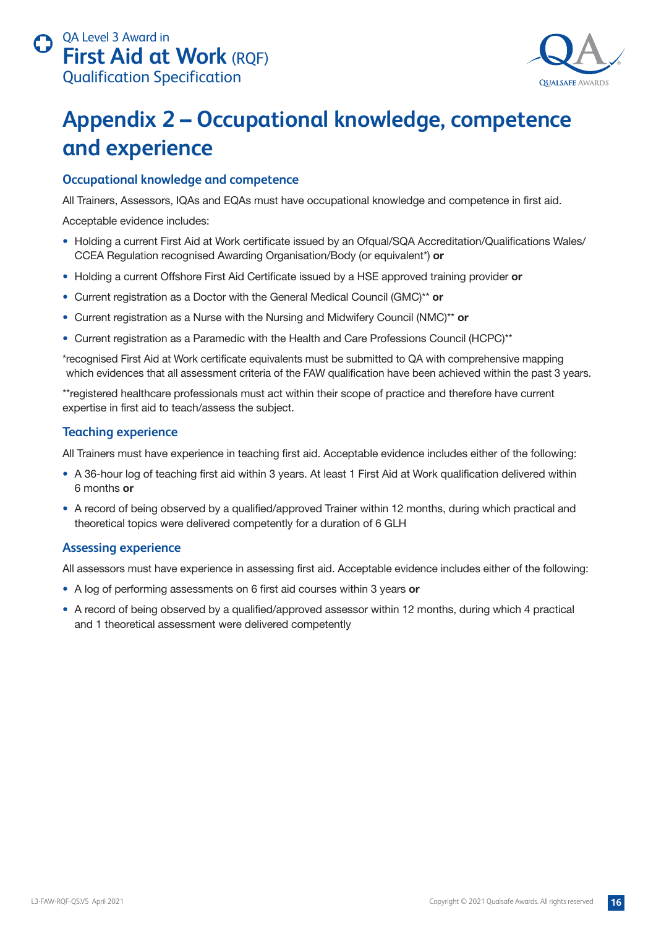<span id="page-15-0"></span>



# **Appendix 2 – Occupational knowledge, competence and experience**

### **Occupational knowledge and competence**

All Trainers, Assessors, IQAs and EQAs must have occupational knowledge and competence in first aid.

Acceptable evidence includes:

- Holding a current First Aid at Work certificate issued by an Ofqual/SQA Accreditation/Qualifications Wales/ CCEA Regulation recognised Awarding Organisation/Body (or equivalent\*) **or**
- Holding a current Offshore First Aid Certificate issued by a HSE approved training provider **or**
- Current registration as a Doctor with the General Medical Council (GMC)\*\* **or**
- Current registration as a Nurse with the Nursing and Midwifery Council (NMC)\*\* **or**
- Current registration as a Paramedic with the Health and Care Professions Council (HCPC)\*\*

\*recognised First Aid at Work certificate equivalents must be submitted to QA with comprehensive mapping which evidences that all assessment criteria of the FAW qualification have been achieved within the past 3 years.

\*\*registered healthcare professionals must act within their scope of practice and therefore have current expertise in first aid to teach/assess the subject.

### **Teaching experience**

All Trainers must have experience in teaching first aid. Acceptable evidence includes either of the following:

- A 36-hour log of teaching first aid within 3 years. At least 1 First Aid at Work qualification delivered within 6 months **or**
- A record of being observed by a qualified/approved Trainer within 12 months, during which practical and theoretical topics were delivered competently for a duration of 6 GLH

### **Assessing experience**

All assessors must have experience in assessing first aid. Acceptable evidence includes either of the following:

- A log of performing assessments on 6 first aid courses within 3 years **or**
- A record of being observed by a qualified/approved assessor within 12 months, during which 4 practical and 1 theoretical assessment were delivered competently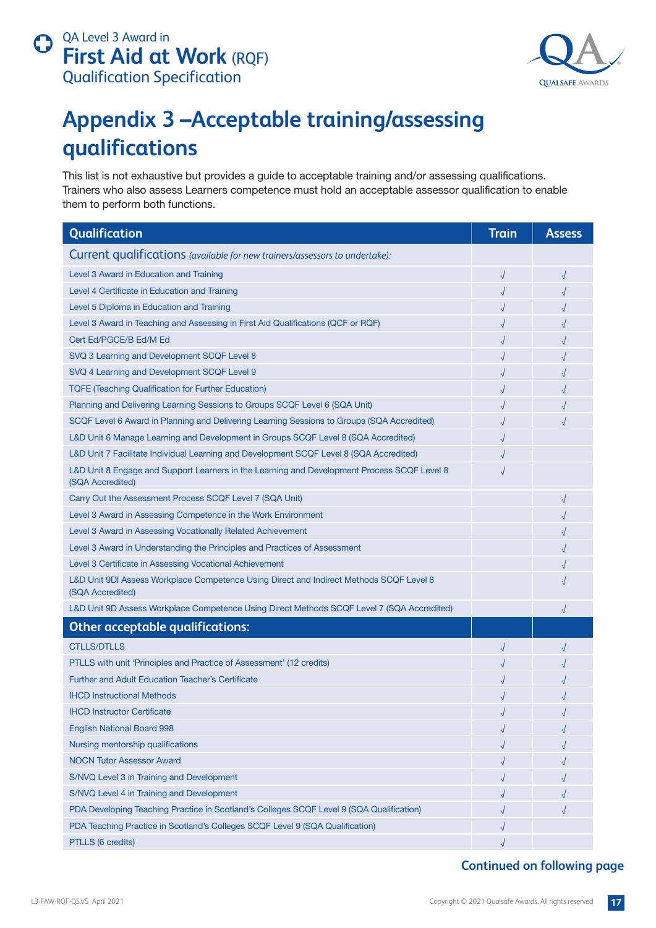

# <span id="page-16-0"></span>**Appendix 3 –Acceptable training/assessing qualifications**

This list is not exhaustive but provides a guide to acceptable training and/or assessing qualifications. Trainers who also assess Learners competence must hold an acceptable assessor qualification to enable them to perform both functions.

| Qualification                                                                                                   | <b>Train</b> | <b>Assess</b> |
|-----------------------------------------------------------------------------------------------------------------|--------------|---------------|
| Current qualifications (available for new trainers/assessors to undertake):                                     |              |               |
| Level 3 Award in Education and Training                                                                         |              | $\sqrt{}$     |
| Level 4 Certificate in Education and Training                                                                   |              |               |
| Level 5 Diploma in Education and Training                                                                       |              |               |
| Level 3 Award in Teaching and Assessing in First Aid Qualifications (QCF or RQF)                                |              |               |
| Cert Ed/PGCE/B Ed/M Ed                                                                                          |              |               |
| SVQ 3 Learning and Development SCQF Level 8                                                                     |              |               |
| SVQ 4 Learning and Development SCQF Level 9                                                                     |              |               |
| <b>TQFE (Teaching Qualification for Further Education)</b>                                                      |              |               |
| Planning and Delivering Learning Sessions to Groups SCQF Level 6 (SQA Unit)                                     |              |               |
| SCQF Level 6 Award in Planning and Delivering Learning Sessions to Groups (SQA Accredited)                      |              |               |
| L&D Unit 6 Manage Learning and Development in Groups SCQF Level 8 (SQA Accredited)                              |              |               |
| L&D Unit 7 Facilitate Individual Learning and Development SCQF Level 8 (SQA Accredited)                         |              |               |
| L&D Unit 8 Engage and Support Learners in the Learning and Development Process SCQF Level 8<br>(SQA Accredited) |              |               |
| Carry Out the Assessment Process SCQF Level 7 (SQA Unit)                                                        |              |               |
| Level 3 Award in Assessing Competence in the Work Environment                                                   |              |               |
| Level 3 Award in Assessing Vocationally Related Achievement                                                     |              |               |
| Level 3 Award in Understanding the Principles and Practices of Assessment                                       |              |               |
| Level 3 Certificate in Assessing Vocational Achievement                                                         |              |               |
| L&D Unit 9DI Assess Workplace Competence Using Direct and Indirect Methods SCQF Level 8<br>(SQA Accredited)     |              |               |
| L&D Unit 9D Assess Workplace Competence Using Direct Methods SCQF Level 7 (SQA Accredited)                      |              |               |
| <b>Other acceptable qualifications:</b>                                                                         |              |               |
| <b>CTLLS/DTLLS</b>                                                                                              |              |               |
| PTLLS with unit 'Principles and Practice of Assessment' (12 credits)                                            |              |               |
| <b>Further and Adult Education Teacher's Certificate</b>                                                        |              |               |
| <b>IHCD Instructional Methods</b>                                                                               |              |               |
| <b>IHCD Instructor Certificate</b>                                                                              |              |               |
| <b>English National Board 998</b>                                                                               |              |               |
| Nursing mentorship qualifications                                                                               |              |               |
| <b>NOCN Tutor Assessor Award</b>                                                                                |              |               |
| S/NVQ Level 3 in Training and Development                                                                       |              |               |
| S/NVQ Level 4 in Training and Development                                                                       |              |               |
| PDA Developing Teaching Practice in Scotland's Colleges SCQF Level 9 (SQA Qualification)                        |              |               |
| PDA Teaching Practice in Scotland's Colleges SCQF Level 9 (SQA Qualification)                                   |              |               |
| PTLLS (6 credits)                                                                                               |              |               |

## **Continued on following page**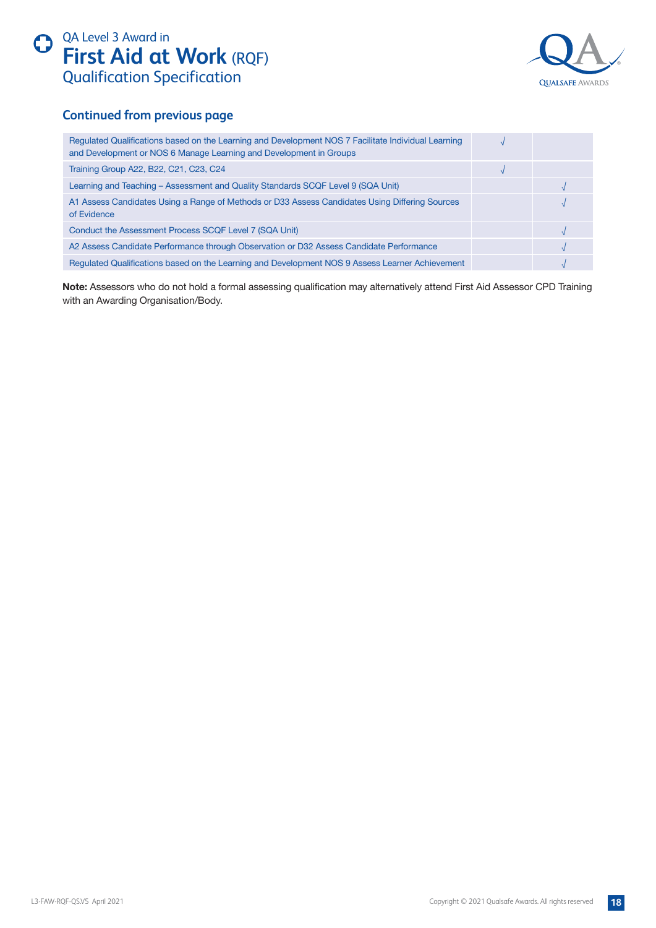



## **Continued from previous page**

| Regulated Qualifications based on the Learning and Development NOS 7 Facilitate Individual Learning<br>and Development or NOS 6 Manage Learning and Development in Groups |  |
|---------------------------------------------------------------------------------------------------------------------------------------------------------------------------|--|
| Training Group A22, B22, C21, C23, C24                                                                                                                                    |  |
| Learning and Teaching - Assessment and Quality Standards SCQF Level 9 (SQA Unit)                                                                                          |  |
| A1 Assess Candidates Using a Range of Methods or D33 Assess Candidates Using Differing Sources<br>of Evidence                                                             |  |
| Conduct the Assessment Process SCQF Level 7 (SQA Unit)                                                                                                                    |  |
| A2 Assess Candidate Performance through Observation or D32 Assess Candidate Performance                                                                                   |  |
| Regulated Qualifications based on the Learning and Development NOS 9 Assess Learner Achievement                                                                           |  |

**Note:** Assessors who do not hold a formal assessing qualification may alternatively attend First Aid Assessor CPD Training with an Awarding Organisation/Body.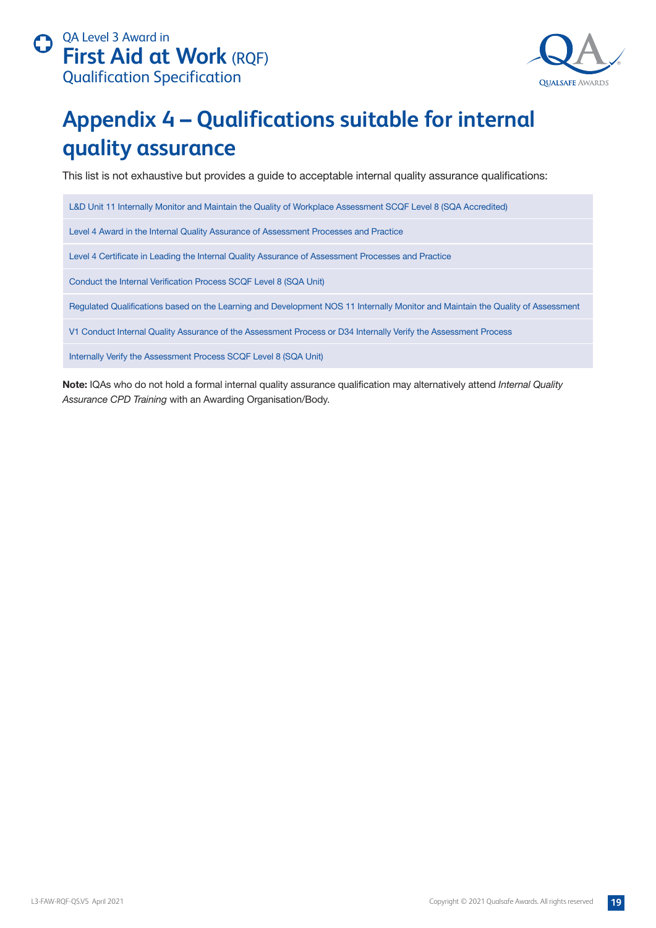

# <span id="page-18-0"></span>**Appendix 4 – Qualifications suitable for internal quality assurance**

This list is not exhaustive but provides a guide to acceptable internal quality assurance qualifications:

L&D Unit 11 Internally Monitor and Maintain the Quality of Workplace Assessment SCQF Level 8 (SQA Accredited)

Level 4 Award in the Internal Quality Assurance of Assessment Processes and Practice

Level 4 Certificate in Leading the Internal Quality Assurance of Assessment Processes and Practice

Conduct the Internal Verification Process SCQF Level 8 (SQA Unit)

Regulated Qualifications based on the Learning and Development NOS 11 Internally Monitor and Maintain the Quality of Assessment

V1 Conduct Internal Quality Assurance of the Assessment Process or D34 Internally Verify the Assessment Process

Internally Verify the Assessment Process SCQF Level 8 (SQA Unit)

**Note:** IQAs who do not hold a formal internal quality assurance qualification may alternatively attend *Internal Quality Assurance CPD Training* with an Awarding Organisation/Body.